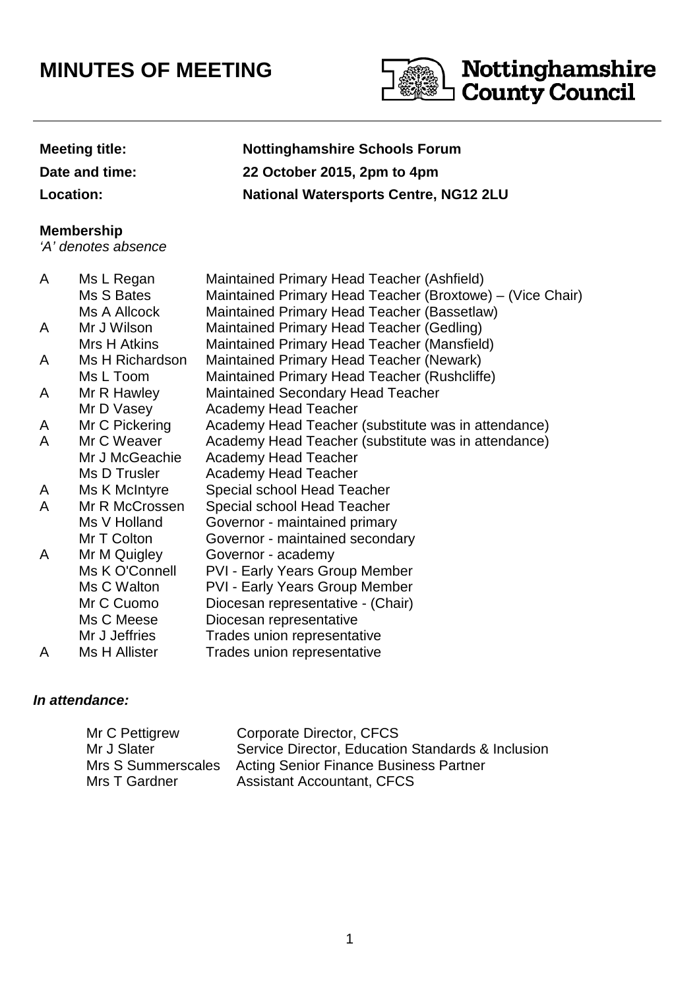# **MINUTES OF MEETING**



# **Meeting title: Nottinghamshire Schools Forum Date and time: 22 October 2015, 2pm to 4pm Location: National Watersports Centre, NG12 2LU**

### **Membership**

'A' denotes absence

| A | Ms L Regan      | Maintained Primary Head Teacher (Ashfield)                |
|---|-----------------|-----------------------------------------------------------|
|   | Ms S Bates      | Maintained Primary Head Teacher (Broxtowe) – (Vice Chair) |
|   | Ms A Allcock    | Maintained Primary Head Teacher (Bassetlaw)               |
| A | Mr J Wilson     | Maintained Primary Head Teacher (Gedling)                 |
|   | Mrs H Atkins    | Maintained Primary Head Teacher (Mansfield)               |
| A | Ms H Richardson | Maintained Primary Head Teacher (Newark)                  |
|   | Ms L Toom       | Maintained Primary Head Teacher (Rushcliffe)              |
| A | Mr R Hawley     | <b>Maintained Secondary Head Teacher</b>                  |
|   | Mr D Vasey      | <b>Academy Head Teacher</b>                               |
| A | Mr C Pickering  | Academy Head Teacher (substitute was in attendance)       |
| A | Mr C Weaver     | Academy Head Teacher (substitute was in attendance)       |
|   | Mr J McGeachie  | Academy Head Teacher                                      |
|   | Ms D Trusler    | <b>Academy Head Teacher</b>                               |
| A | Ms K McIntyre   | Special school Head Teacher                               |
| A | Mr R McCrossen  | Special school Head Teacher                               |
|   | Ms V Holland    | Governor - maintained primary                             |
|   | Mr T Colton     | Governor - maintained secondary                           |
| A | Mr M Quigley    | Governor - academy                                        |
|   | Ms K O'Connell  | <b>PVI - Early Years Group Member</b>                     |
|   | Ms C Walton     | <b>PVI - Early Years Group Member</b>                     |
|   | Mr C Cuomo      | Diocesan representative - (Chair)                         |
|   | Ms C Meese      | Diocesan representative                                   |
|   | Mr J Jeffries   | Trades union representative                               |
| A | Ms H Allister   | Trades union representative                               |

## **In attendance:**

| Mr C Pettigrew     | Corporate Director, CFCS                          |
|--------------------|---------------------------------------------------|
| Mr J Slater        | Service Director, Education Standards & Inclusion |
| Mrs S Summerscales | <b>Acting Senior Finance Business Partner</b>     |
| Mrs T Gardner      | <b>Assistant Accountant, CFCS</b>                 |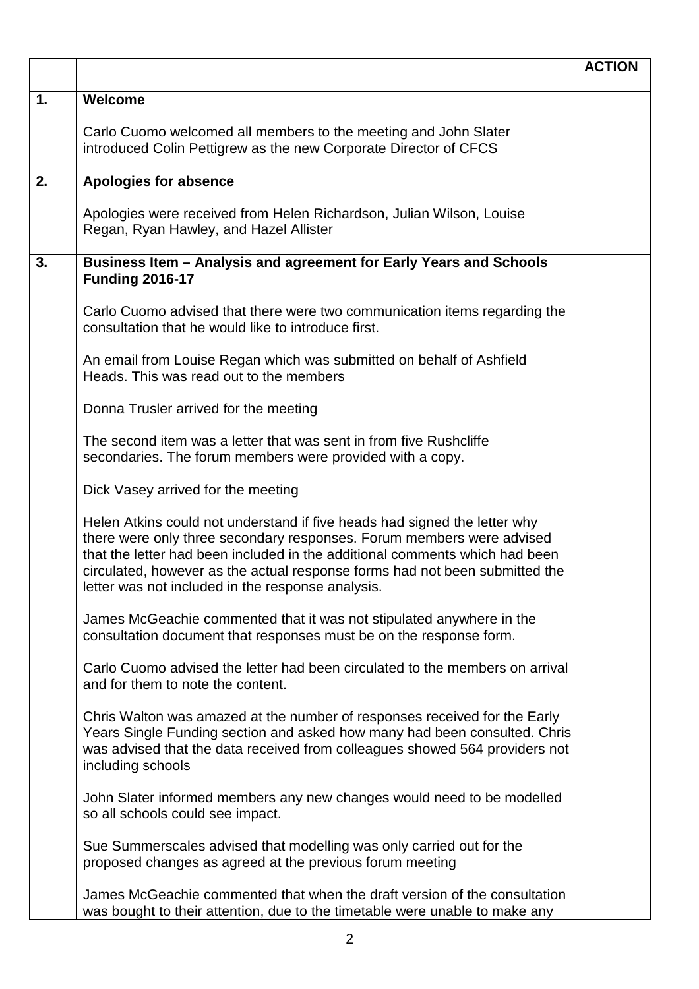|                |                                                                                                                                                                                                                                                                                                                                                                       | <b>ACTION</b> |
|----------------|-----------------------------------------------------------------------------------------------------------------------------------------------------------------------------------------------------------------------------------------------------------------------------------------------------------------------------------------------------------------------|---------------|
| $\mathbf{1}$ . | Welcome                                                                                                                                                                                                                                                                                                                                                               |               |
|                | Carlo Cuomo welcomed all members to the meeting and John Slater<br>introduced Colin Pettigrew as the new Corporate Director of CFCS                                                                                                                                                                                                                                   |               |
| 2.             | <b>Apologies for absence</b>                                                                                                                                                                                                                                                                                                                                          |               |
|                | Apologies were received from Helen Richardson, Julian Wilson, Louise<br>Regan, Ryan Hawley, and Hazel Allister                                                                                                                                                                                                                                                        |               |
| 3.             | Business Item - Analysis and agreement for Early Years and Schools<br><b>Funding 2016-17</b>                                                                                                                                                                                                                                                                          |               |
|                | Carlo Cuomo advised that there were two communication items regarding the<br>consultation that he would like to introduce first.                                                                                                                                                                                                                                      |               |
|                | An email from Louise Regan which was submitted on behalf of Ashfield<br>Heads. This was read out to the members                                                                                                                                                                                                                                                       |               |
|                | Donna Trusler arrived for the meeting                                                                                                                                                                                                                                                                                                                                 |               |
|                | The second item was a letter that was sent in from five Rushcliffe<br>secondaries. The forum members were provided with a copy.                                                                                                                                                                                                                                       |               |
|                | Dick Vasey arrived for the meeting                                                                                                                                                                                                                                                                                                                                    |               |
|                | Helen Atkins could not understand if five heads had signed the letter why<br>there were only three secondary responses. Forum members were advised<br>that the letter had been included in the additional comments which had been<br>circulated, however as the actual response forms had not been submitted the<br>letter was not included in the response analysis. |               |
|                | James McGeachie commented that it was not stipulated anywhere in the<br>consultation document that responses must be on the response form.                                                                                                                                                                                                                            |               |
|                | Carlo Cuomo advised the letter had been circulated to the members on arrival<br>and for them to note the content.                                                                                                                                                                                                                                                     |               |
|                | Chris Walton was amazed at the number of responses received for the Early<br>Years Single Funding section and asked how many had been consulted. Chris<br>was advised that the data received from colleagues showed 564 providers not<br>including schools                                                                                                            |               |
|                | John Slater informed members any new changes would need to be modelled<br>so all schools could see impact.                                                                                                                                                                                                                                                            |               |
|                | Sue Summerscales advised that modelling was only carried out for the<br>proposed changes as agreed at the previous forum meeting                                                                                                                                                                                                                                      |               |
|                | James McGeachie commented that when the draft version of the consultation<br>was bought to their attention, due to the timetable were unable to make any                                                                                                                                                                                                              |               |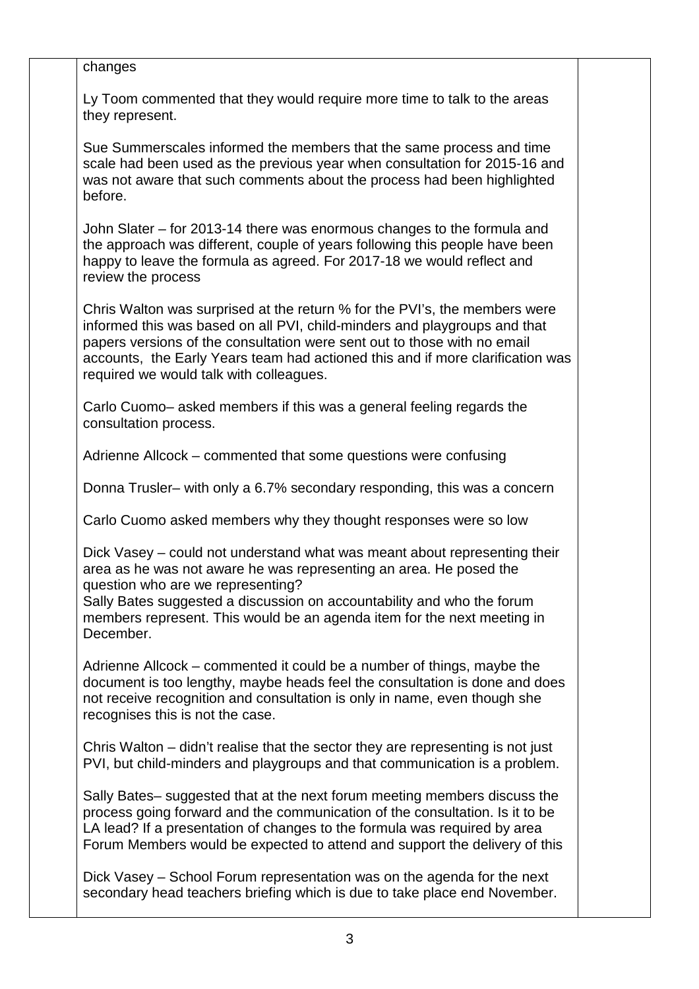| changes                                                                                                                                                                                                                                                                                                                                                          |  |
|------------------------------------------------------------------------------------------------------------------------------------------------------------------------------------------------------------------------------------------------------------------------------------------------------------------------------------------------------------------|--|
| Ly Toom commented that they would require more time to talk to the areas<br>they represent.                                                                                                                                                                                                                                                                      |  |
| Sue Summerscales informed the members that the same process and time<br>scale had been used as the previous year when consultation for 2015-16 and<br>was not aware that such comments about the process had been highlighted<br>before.                                                                                                                         |  |
| John Slater – for 2013-14 there was enormous changes to the formula and<br>the approach was different, couple of years following this people have been<br>happy to leave the formula as agreed. For 2017-18 we would reflect and<br>review the process                                                                                                           |  |
| Chris Walton was surprised at the return % for the PVI's, the members were<br>informed this was based on all PVI, child-minders and playgroups and that<br>papers versions of the consultation were sent out to those with no email<br>accounts, the Early Years team had actioned this and if more clarification was<br>required we would talk with colleagues. |  |
| Carlo Cuomo- asked members if this was a general feeling regards the<br>consultation process.                                                                                                                                                                                                                                                                    |  |
| Adrienne Allcock – commented that some questions were confusing                                                                                                                                                                                                                                                                                                  |  |
| Donna Trusler- with only a 6.7% secondary responding, this was a concern                                                                                                                                                                                                                                                                                         |  |
| Carlo Cuomo asked members why they thought responses were so low                                                                                                                                                                                                                                                                                                 |  |
| Dick Vasey – could not understand what was meant about representing their<br>area as he was not aware he was representing an area. He posed the<br>question who are we representing?                                                                                                                                                                             |  |
| Sally Bates suggested a discussion on accountability and who the forum<br>members represent. This would be an agenda item for the next meeting in<br>December.                                                                                                                                                                                                   |  |
| Adrienne Allcock – commented it could be a number of things, maybe the<br>document is too lengthy, maybe heads feel the consultation is done and does<br>not receive recognition and consultation is only in name, even though she<br>recognises this is not the case.                                                                                           |  |
| Chris Walton – didn't realise that the sector they are representing is not just<br>PVI, but child-minders and playgroups and that communication is a problem.                                                                                                                                                                                                    |  |
| Sally Bates- suggested that at the next forum meeting members discuss the<br>process going forward and the communication of the consultation. Is it to be<br>LA lead? If a presentation of changes to the formula was required by area<br>Forum Members would be expected to attend and support the delivery of this                                             |  |
| Dick Vasey – School Forum representation was on the agenda for the next<br>secondary head teachers briefing which is due to take place end November.                                                                                                                                                                                                             |  |
|                                                                                                                                                                                                                                                                                                                                                                  |  |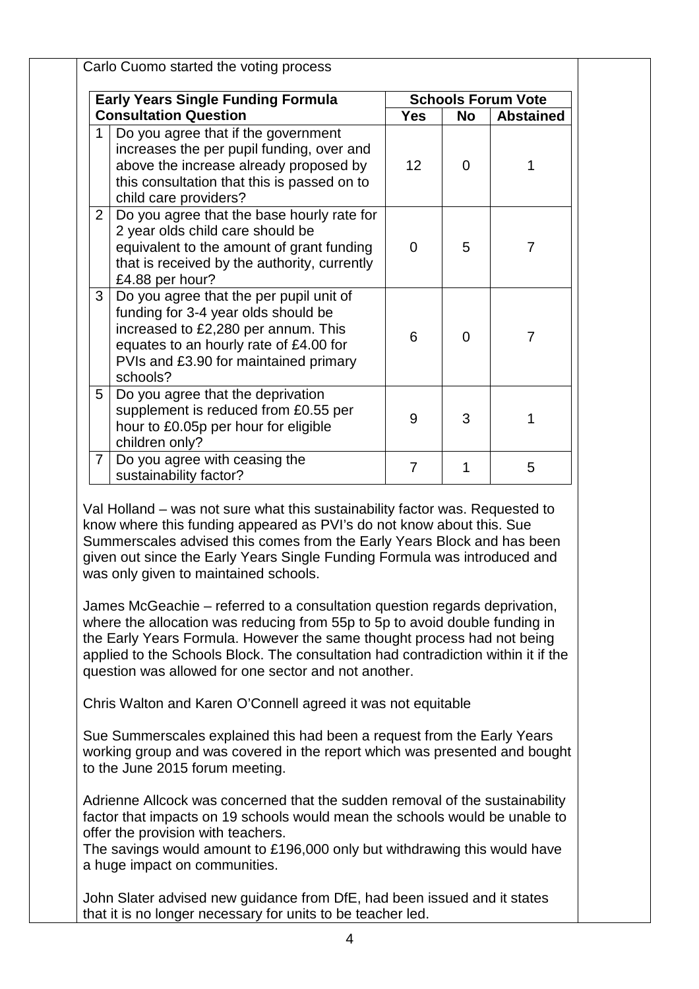|                | <b>Early Years Single Funding Formula</b>                                                                                                                                                                            |                 |          | <b>Schools Forum Vote</b> |
|----------------|----------------------------------------------------------------------------------------------------------------------------------------------------------------------------------------------------------------------|-----------------|----------|---------------------------|
|                | <b>Consultation Question</b>                                                                                                                                                                                         | <b>Yes</b>      | No       | <b>Abstained</b>          |
|                | Do you agree that if the government<br>increases the per pupil funding, over and<br>above the increase already proposed by<br>this consultation that this is passed on to<br>child care providers?                   | 12 <sup>2</sup> | $\Omega$ |                           |
| 2 <sup>1</sup> | Do you agree that the base hourly rate for<br>2 year olds child care should be<br>equivalent to the amount of grant funding<br>that is received by the authority, currently<br>£4.88 per hour?                       | $\Omega$        | 5        | 7                         |
| 3 <sup>1</sup> | Do you agree that the per pupil unit of<br>funding for 3-4 year olds should be<br>increased to £2,280 per annum. This<br>equates to an hourly rate of £4.00 for<br>PVIs and £3.90 for maintained primary<br>schools? | 6               | $\Omega$ | $\overline{7}$            |
| 5              | Do you agree that the deprivation<br>supplement is reduced from £0.55 per<br>hour to £0.05p per hour for eligible<br>children only?                                                                                  | 9               | 3        |                           |
| $\overline{7}$ | Do you agree with ceasing the<br>sustainability factor?                                                                                                                                                              | 7               |          | 5                         |

Val Holland – was not sure what this sustainability factor was. Requested to know where this funding appeared as PVI's do not know about this. Sue Summerscales advised this comes from the Early Years Block and has been given out since the Early Years Single Funding Formula was introduced and was only given to maintained schools.

James McGeachie – referred to a consultation question regards deprivation, where the allocation was reducing from 55p to 5p to avoid double funding in the Early Years Formula. However the same thought process had not being applied to the Schools Block. The consultation had contradiction within it if the question was allowed for one sector and not another.

Chris Walton and Karen O'Connell agreed it was not equitable

Sue Summerscales explained this had been a request from the Early Years working group and was covered in the report which was presented and bought to the June 2015 forum meeting.

Adrienne Allcock was concerned that the sudden removal of the sustainability factor that impacts on 19 schools would mean the schools would be unable to offer the provision with teachers.

The savings would amount to £196,000 only but withdrawing this would have a huge impact on communities.

John Slater advised new guidance from DfE, had been issued and it states that it is no longer necessary for units to be teacher led.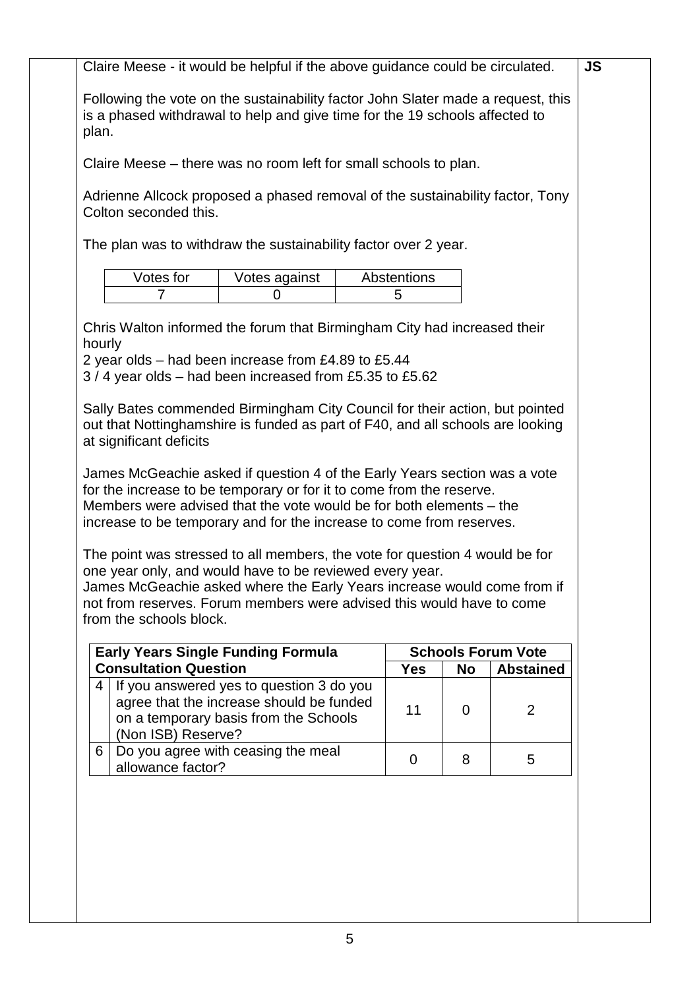| Claire Meese - it would be helpful if the above guidance could be circulated. |                                                                                                                                                                 |                                                                             |           |                           |  |  |  |  |
|-------------------------------------------------------------------------------|-----------------------------------------------------------------------------------------------------------------------------------------------------------------|-----------------------------------------------------------------------------|-----------|---------------------------|--|--|--|--|
| plan.                                                                         | Following the vote on the sustainability factor John Slater made a request, this<br>is a phased withdrawal to help and give time for the 19 schools affected to |                                                                             |           |                           |  |  |  |  |
|                                                                               | Claire Meese – there was no room left for small schools to plan.                                                                                                |                                                                             |           |                           |  |  |  |  |
| Colton seconded this.                                                         | Adrienne Allcock proposed a phased removal of the sustainability factor, Tony                                                                                   |                                                                             |           |                           |  |  |  |  |
|                                                                               | The plan was to withdraw the sustainability factor over 2 year.                                                                                                 |                                                                             |           |                           |  |  |  |  |
| Votes for<br>7                                                                | Votes against<br>0                                                                                                                                              | Abstentions<br>5                                                            |           |                           |  |  |  |  |
|                                                                               |                                                                                                                                                                 |                                                                             |           |                           |  |  |  |  |
|                                                                               | Chris Walton informed the forum that Birmingham City had increased their                                                                                        |                                                                             |           |                           |  |  |  |  |
| hourly                                                                        | 2 year olds – had been increase from £4.89 to £5.44                                                                                                             |                                                                             |           |                           |  |  |  |  |
|                                                                               | 3/4 year olds - had been increased from £5.35 to £5.62                                                                                                          |                                                                             |           |                           |  |  |  |  |
|                                                                               |                                                                                                                                                                 |                                                                             |           |                           |  |  |  |  |
|                                                                               |                                                                                                                                                                 | Sally Bates commended Birmingham City Council for their action, but pointed |           |                           |  |  |  |  |
|                                                                               |                                                                                                                                                                 |                                                                             |           |                           |  |  |  |  |
| at significant deficits                                                       | out that Nottinghamshire is funded as part of F40, and all schools are looking                                                                                  |                                                                             |           |                           |  |  |  |  |
|                                                                               |                                                                                                                                                                 |                                                                             |           |                           |  |  |  |  |
|                                                                               | James McGeachie asked if question 4 of the Early Years section was a vote                                                                                       |                                                                             |           |                           |  |  |  |  |
|                                                                               | for the increase to be temporary or for it to come from the reserve.<br>Members were advised that the vote would be for both elements - the                     |                                                                             |           |                           |  |  |  |  |
|                                                                               | increase to be temporary and for the increase to come from reserves.                                                                                            |                                                                             |           |                           |  |  |  |  |
|                                                                               |                                                                                                                                                                 |                                                                             |           |                           |  |  |  |  |
|                                                                               | The point was stressed to all members, the vote for question 4 would be for                                                                                     |                                                                             |           |                           |  |  |  |  |
|                                                                               | one year only, and would have to be reviewed every year.<br>James McGeachie asked where the Early Years increase would come from if                             |                                                                             |           |                           |  |  |  |  |
|                                                                               | not from reserves. Forum members were advised this would have to come                                                                                           |                                                                             |           |                           |  |  |  |  |
|                                                                               |                                                                                                                                                                 |                                                                             |           |                           |  |  |  |  |
|                                                                               | <b>Early Years Single Funding Formula</b>                                                                                                                       |                                                                             |           | <b>Schools Forum Vote</b> |  |  |  |  |
| from the schools block.<br><b>Consultation Question</b>                       |                                                                                                                                                                 | <b>Yes</b>                                                                  | <b>No</b> | <b>Abstained</b>          |  |  |  |  |
| 4                                                                             | If you answered yes to question 3 do you                                                                                                                        |                                                                             |           |                           |  |  |  |  |
|                                                                               | agree that the increase should be funded                                                                                                                        | 11                                                                          | 0         | $\overline{2}$            |  |  |  |  |
|                                                                               | on a temporary basis from the Schools                                                                                                                           |                                                                             |           |                           |  |  |  |  |
| (Non ISB) Reserve?<br>6                                                       | Do you agree with ceasing the meal                                                                                                                              | $\overline{0}$                                                              | 8         | 5                         |  |  |  |  |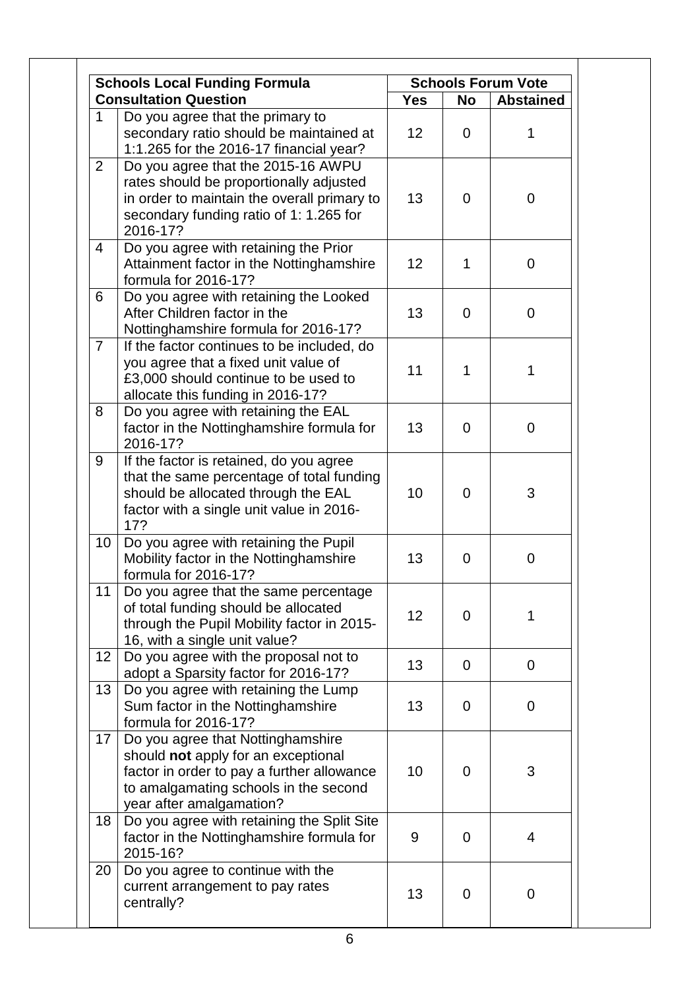|                 | <b>Schools Local Funding Formula</b>                                                                                                                                                        | <b>Schools Forum Vote</b> |                |                  |
|-----------------|---------------------------------------------------------------------------------------------------------------------------------------------------------------------------------------------|---------------------------|----------------|------------------|
|                 | <b>Consultation Question</b>                                                                                                                                                                | <b>Yes</b>                | <b>No</b>      | <b>Abstained</b> |
| $\mathbf{1}$    | Do you agree that the primary to<br>secondary ratio should be maintained at<br>1:1.265 for the 2016-17 financial year?                                                                      | 12                        | $\mathbf 0$    | 1                |
| 2               | Do you agree that the 2015-16 AWPU<br>rates should be proportionally adjusted<br>in order to maintain the overall primary to<br>secondary funding ratio of 1: 1.265 for<br>2016-17?         | 13                        | $\overline{0}$ | $\mathbf 0$      |
| $\overline{4}$  | Do you agree with retaining the Prior<br>Attainment factor in the Nottinghamshire<br>formula for 2016-17?                                                                                   | 12                        | 1              | $\overline{0}$   |
| 6               | Do you agree with retaining the Looked<br>After Children factor in the<br>Nottinghamshire formula for 2016-17?                                                                              | 13                        | $\overline{0}$ | $\mathbf 0$      |
| $\overline{7}$  | If the factor continues to be included, do<br>you agree that a fixed unit value of<br>£3,000 should continue to be used to<br>allocate this funding in 2016-17?                             | 11                        | 1              | 1                |
| 8               | Do you agree with retaining the EAL<br>factor in the Nottinghamshire formula for<br>2016-17?                                                                                                | 13                        | $\mathbf 0$    | $\overline{0}$   |
| 9               | If the factor is retained, do you agree<br>that the same percentage of total funding<br>should be allocated through the EAL<br>factor with a single unit value in 2016-<br>17?              | 10                        | $\overline{0}$ | 3                |
| 10 <sup>1</sup> | Do you agree with retaining the Pupil<br>Mobility factor in the Nottinghamshire<br>formula for 2016-17?                                                                                     | 13                        | $\overline{0}$ | $\mathbf 0$      |
| 11              | Do you agree that the same percentage<br>of total funding should be allocated<br>through the Pupil Mobility factor in 2015-<br>16, with a single unit value?                                | 12                        | $\overline{0}$ | 1                |
| 12              | Do you agree with the proposal not to<br>adopt a Sparsity factor for 2016-17?                                                                                                               | 13                        | $\overline{0}$ | $\mathbf 0$      |
| 13 <sup>°</sup> | Do you agree with retaining the Lump<br>Sum factor in the Nottinghamshire<br>formula for 2016-17?                                                                                           | 13                        | $\overline{0}$ | $\mathbf 0$      |
| 17 <sup>1</sup> | Do you agree that Nottinghamshire<br>should not apply for an exceptional<br>factor in order to pay a further allowance<br>to amalgamating schools in the second<br>year after amalgamation? | 10                        | $\mathbf 0$    | 3                |
| 18 <sup>°</sup> | Do you agree with retaining the Split Site<br>factor in the Nottinghamshire formula for<br>2015-16?                                                                                         | 9                         | $\mathbf 0$    | 4                |
| 20              | Do you agree to continue with the<br>current arrangement to pay rates<br>centrally?                                                                                                         | 13                        | $\mathbf 0$    | $\mathbf 0$      |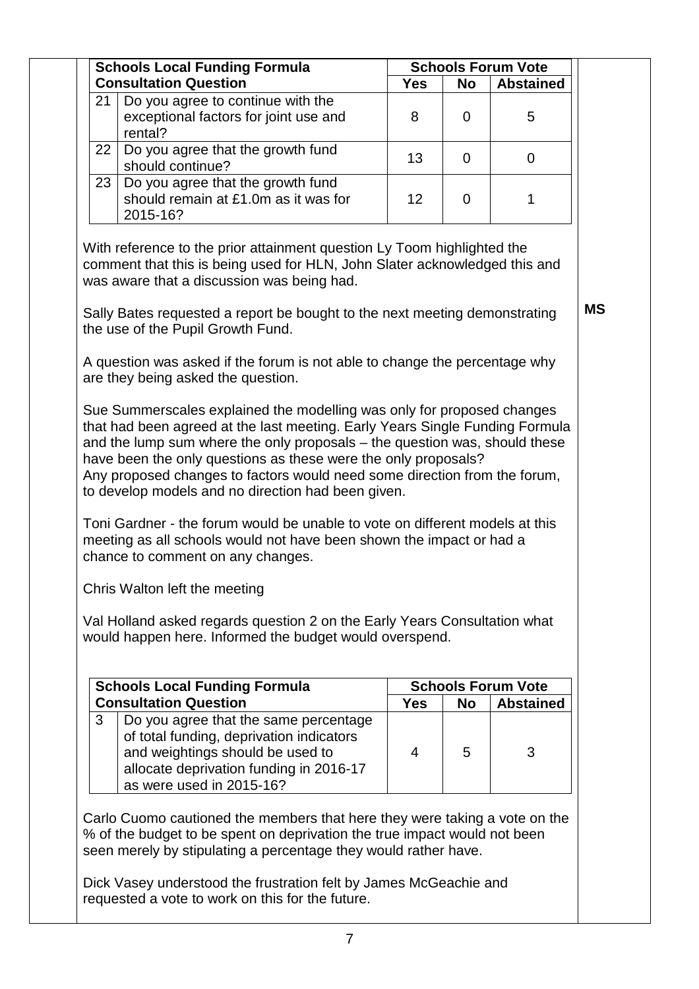| 21 | <b>Schools Local Funding Formula</b>                                                                                                                                                                                                                                                                                                                                                                                                                                         |            |             | <b>Schools Forum Vote</b> |           |
|----|------------------------------------------------------------------------------------------------------------------------------------------------------------------------------------------------------------------------------------------------------------------------------------------------------------------------------------------------------------------------------------------------------------------------------------------------------------------------------|------------|-------------|---------------------------|-----------|
|    | <b>Consultation Question</b>                                                                                                                                                                                                                                                                                                                                                                                                                                                 | <b>Yes</b> | <b>No</b>   | <b>Abstained</b>          |           |
|    | Do you agree to continue with the<br>exceptional factors for joint use and<br>rental?                                                                                                                                                                                                                                                                                                                                                                                        | 8          | $\Omega$    | 5                         |           |
| 22 | Do you agree that the growth fund<br>should continue?                                                                                                                                                                                                                                                                                                                                                                                                                        | 13         | $\mathbf 0$ | $\mathbf 0$               |           |
| 23 | Do you agree that the growth fund<br>should remain at £1.0m as it was for<br>2015-16?                                                                                                                                                                                                                                                                                                                                                                                        | 12         | $\mathbf 0$ | 1                         |           |
|    | With reference to the prior attainment question Ly Toom highlighted the<br>comment that this is being used for HLN, John Slater acknowledged this and<br>was aware that a discussion was being had.<br>Sally Bates requested a report be bought to the next meeting demonstrating                                                                                                                                                                                            |            |             |                           | <b>MS</b> |
|    | the use of the Pupil Growth Fund.                                                                                                                                                                                                                                                                                                                                                                                                                                            |            |             |                           |           |
|    | A question was asked if the forum is not able to change the percentage why<br>are they being asked the question.                                                                                                                                                                                                                                                                                                                                                             |            |             |                           |           |
|    | and the lump sum where the only proposals - the question was, should these<br>have been the only questions as these were the only proposals?<br>Any proposed changes to factors would need some direction from the forum,<br>to develop models and no direction had been given.<br>Toni Gardner - the forum would be unable to vote on different models at this<br>meeting as all schools would not have been shown the impact or had a<br>chance to comment on any changes. |            |             |                           |           |
|    | Chris Walton left the meeting                                                                                                                                                                                                                                                                                                                                                                                                                                                |            |             |                           |           |
|    | Val Holland asked regards question 2 on the Early Years Consultation what<br>would happen here. Informed the budget would overspend.<br><b>Schools Local Funding Formula</b>                                                                                                                                                                                                                                                                                                 |            |             | <b>Schools Forum Vote</b> |           |
|    | <b>Consultation Question</b>                                                                                                                                                                                                                                                                                                                                                                                                                                                 | <b>Yes</b> | <b>No</b>   | <b>Abstained</b>          |           |
|    |                                                                                                                                                                                                                                                                                                                                                                                                                                                                              |            |             |                           |           |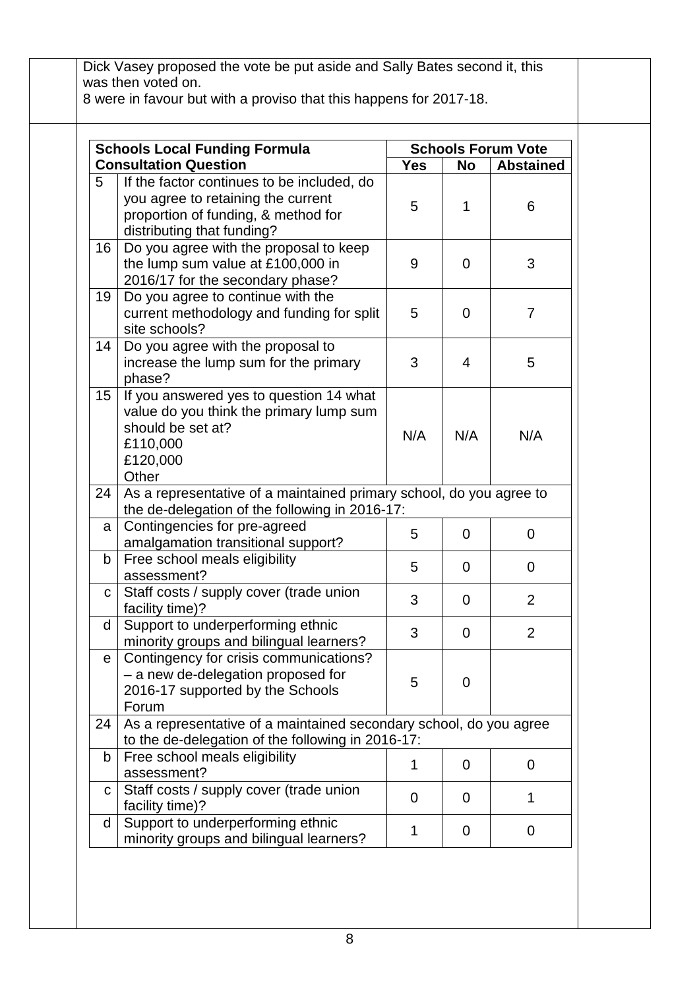|                 | <b>Schools Local Funding Formula</b>                                |             |                | <b>Schools Forum Vote</b> |
|-----------------|---------------------------------------------------------------------|-------------|----------------|---------------------------|
|                 | <b>Consultation Question</b>                                        | <b>Yes</b>  | <b>No</b>      | <b>Abstained</b>          |
| 5               | If the factor continues to be included, do                          |             |                |                           |
|                 | you agree to retaining the current                                  |             |                |                           |
|                 | proportion of funding, & method for                                 | 5           | 1              | 6                         |
|                 | distributing that funding?                                          |             |                |                           |
| 16 <sup>1</sup> | Do you agree with the proposal to keep                              |             |                |                           |
|                 | the lump sum value at £100,000 in                                   | 9           | $\Omega$       | 3                         |
|                 | 2016/17 for the secondary phase?                                    |             |                |                           |
| 19 <sup>1</sup> | Do you agree to continue with the                                   |             |                |                           |
|                 | current methodology and funding for split                           | 5           | $\Omega$       | $\overline{7}$            |
|                 | site schools?                                                       |             |                |                           |
| 14 <sup>1</sup> | Do you agree with the proposal to                                   |             |                |                           |
|                 | increase the lump sum for the primary                               | 3           | $\overline{4}$ | 5                         |
|                 | phase?                                                              |             |                |                           |
| 15 <sub>1</sub> | If you answered yes to question 14 what                             |             |                |                           |
|                 | value do you think the primary lump sum                             |             |                |                           |
|                 | should be set at?                                                   | N/A         | N/A            | N/A                       |
|                 | £110,000<br>£120,000                                                |             |                |                           |
|                 | Other                                                               |             |                |                           |
| 24              | As a representative of a maintained primary school, do you agree to |             |                |                           |
|                 | the de-delegation of the following in 2016-17:                      |             |                |                           |
| a <sub>l</sub>  | Contingencies for pre-agreed                                        |             |                |                           |
|                 | amalgamation transitional support?                                  | 5           | $\overline{0}$ | $\mathbf 0$               |
| b               | Free school meals eligibility                                       |             |                |                           |
|                 | assessment?                                                         | 5           | $\mathbf 0$    | 0                         |
| С               | Staff costs / supply cover (trade union                             | 3           | $\Omega$       | $\overline{2}$            |
|                 | facility time)?                                                     |             |                |                           |
| d               | Support to underperforming ethnic                                   | 3           | $\overline{0}$ | 2                         |
|                 | minority groups and bilingual learners?                             |             |                |                           |
| e l             | Contingency for crisis communications?                              |             |                |                           |
|                 | - a new de-delegation proposed for                                  | 5           | $\mathbf 0$    |                           |
|                 | 2016-17 supported by the Schools                                    |             |                |                           |
|                 | Forum                                                               |             |                |                           |
| 24              | As a representative of a maintained secondary school, do you agree  |             |                |                           |
|                 | to the de-delegation of the following in 2016-17:                   |             |                |                           |
| $\mathsf{b}$    | Free school meals eligibility                                       | 1           | 0              | $\mathbf 0$               |
|                 | assessment?                                                         |             |                |                           |
| $\mathbf{C}$    | Staff costs / supply cover (trade union<br>facility time)?          | $\mathbf 0$ | 0              | 1                         |
| d               | Support to underperforming ethnic                                   |             |                |                           |
|                 | minority groups and bilingual learners?                             | 1           | $\mathbf 0$    | $\mathbf 0$               |